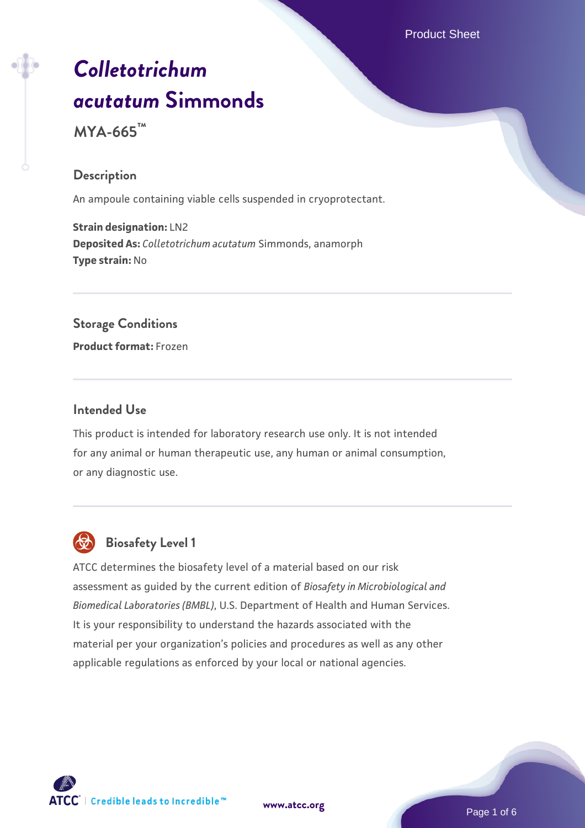Product Sheet

# *[Colletotrichum](https://www.atcc.org/products/mya-665) [acutatum](https://www.atcc.org/products/mya-665)* **[Simmonds](https://www.atcc.org/products/mya-665)**

**MYA-665™**

# **Description**

An ampoule containing viable cells suspended in cryoprotectant.

**Strain designation:** LN2 **Deposited As:** *Colletotrichum acutatum* Simmonds, anamorph **Type strain:** No

# **Storage Conditions**

**Product format:** Frozen

#### **Intended Use**

This product is intended for laboratory research use only. It is not intended for any animal or human therapeutic use, any human or animal consumption, or any diagnostic use.



# **Biosafety Level 1**

ATCC determines the biosafety level of a material based on our risk assessment as guided by the current edition of *Biosafety in Microbiological and Biomedical Laboratories (BMBL)*, U.S. Department of Health and Human Services. It is your responsibility to understand the hazards associated with the material per your organization's policies and procedures as well as any other applicable regulations as enforced by your local or national agencies.

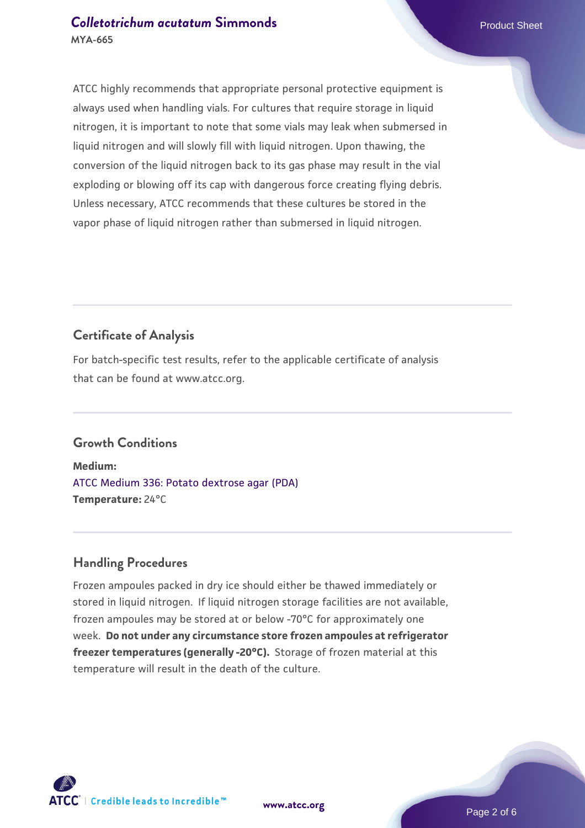# **[Colletotrichum acutatum](https://www.atcc.org/products/mya-665) [Simmonds](https://www.atcc.org/products/mya-665) Product Sheet** Product Sheet **MYA-665**

ATCC highly recommends that appropriate personal protective equipment is always used when handling vials. For cultures that require storage in liquid nitrogen, it is important to note that some vials may leak when submersed in liquid nitrogen and will slowly fill with liquid nitrogen. Upon thawing, the conversion of the liquid nitrogen back to its gas phase may result in the vial exploding or blowing off its cap with dangerous force creating flying debris. Unless necessary, ATCC recommends that these cultures be stored in the vapor phase of liquid nitrogen rather than submersed in liquid nitrogen.

# **Certificate of Analysis**

For batch-specific test results, refer to the applicable certificate of analysis that can be found at www.atcc.org.

# **Growth Conditions**

**Medium:**  [ATCC Medium 336: Potato dextrose agar \(PDA\)](https://www.atcc.org/-/media/product-assets/documents/microbial-media-formulations/3/3/6/atcc-medium-336.pdf?rev=d9160ad44d934cd8b65175461abbf3b9) **Temperature:** 24°C

# **Handling Procedures**

Frozen ampoules packed in dry ice should either be thawed immediately or stored in liquid nitrogen. If liquid nitrogen storage facilities are not available, frozen ampoules may be stored at or below -70°C for approximately one week. **Do not under any circumstance store frozen ampoules at refrigerator freezer temperatures (generally -20°C).** Storage of frozen material at this temperature will result in the death of the culture.

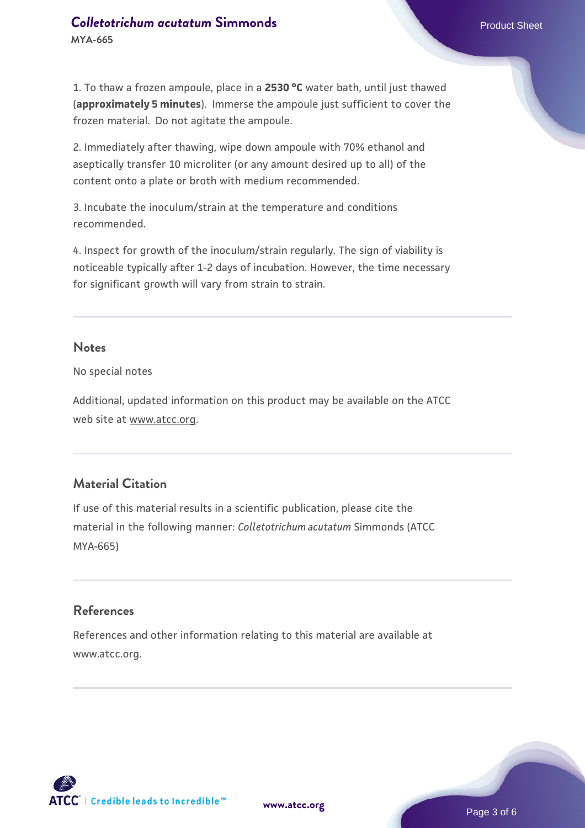# **[Colletotrichum acutatum](https://www.atcc.org/products/mya-665) [Simmonds](https://www.atcc.org/products/mya-665) Product Sheet** Product Sheet **MYA-665**

2. Immediately after thawing, wipe down ampoule with 70% ethanol and aseptically transfer 10 microliter (or any amount desired up to all) of the content onto a plate or broth with medium recommended.

3. Incubate the inoculum/strain at the temperature and conditions recommended.

4. Inspect for growth of the inoculum/strain regularly. The sign of viability is noticeable typically after 1-2 days of incubation. However, the time necessary for significant growth will vary from strain to strain.

#### **Notes**

No special notes

Additional, updated information on this product may be available on the ATCC web site at www.atcc.org.

# **Material Citation**

If use of this material results in a scientific publication, please cite the material in the following manner: *Colletotrichum acutatum* Simmonds (ATCC MYA-665)

#### **References**

References and other information relating to this material are available at www.atcc.org.



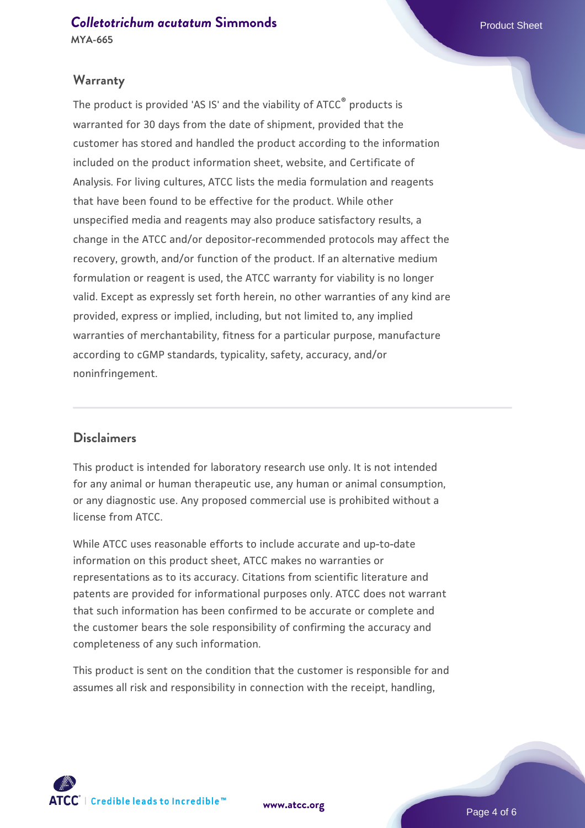#### **Warranty**

The product is provided 'AS IS' and the viability of ATCC® products is warranted for 30 days from the date of shipment, provided that the customer has stored and handled the product according to the information included on the product information sheet, website, and Certificate of Analysis. For living cultures, ATCC lists the media formulation and reagents that have been found to be effective for the product. While other unspecified media and reagents may also produce satisfactory results, a change in the ATCC and/or depositor-recommended protocols may affect the recovery, growth, and/or function of the product. If an alternative medium formulation or reagent is used, the ATCC warranty for viability is no longer valid. Except as expressly set forth herein, no other warranties of any kind are provided, express or implied, including, but not limited to, any implied warranties of merchantability, fitness for a particular purpose, manufacture according to cGMP standards, typicality, safety, accuracy, and/or noninfringement.

#### **Disclaimers**

This product is intended for laboratory research use only. It is not intended for any animal or human therapeutic use, any human or animal consumption, or any diagnostic use. Any proposed commercial use is prohibited without a license from ATCC.

While ATCC uses reasonable efforts to include accurate and up-to-date information on this product sheet, ATCC makes no warranties or representations as to its accuracy. Citations from scientific literature and patents are provided for informational purposes only. ATCC does not warrant that such information has been confirmed to be accurate or complete and the customer bears the sole responsibility of confirming the accuracy and completeness of any such information.

This product is sent on the condition that the customer is responsible for and assumes all risk and responsibility in connection with the receipt, handling,



**[www.atcc.org](http://www.atcc.org)**

Page 4 of 6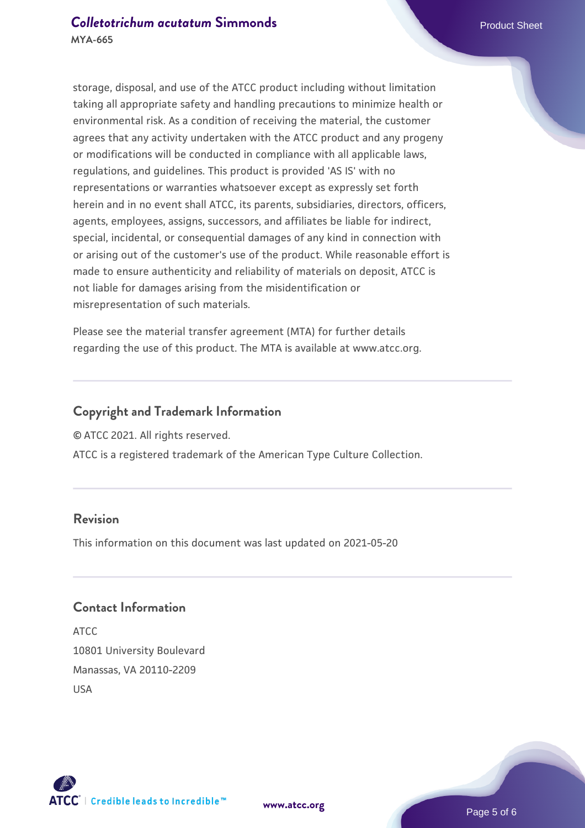storage, disposal, and use of the ATCC product including without limitation taking all appropriate safety and handling precautions to minimize health or environmental risk. As a condition of receiving the material, the customer agrees that any activity undertaken with the ATCC product and any progeny or modifications will be conducted in compliance with all applicable laws, regulations, and guidelines. This product is provided 'AS IS' with no representations or warranties whatsoever except as expressly set forth herein and in no event shall ATCC, its parents, subsidiaries, directors, officers, agents, employees, assigns, successors, and affiliates be liable for indirect, special, incidental, or consequential damages of any kind in connection with or arising out of the customer's use of the product. While reasonable effort is made to ensure authenticity and reliability of materials on deposit, ATCC is not liable for damages arising from the misidentification or misrepresentation of such materials.

Please see the material transfer agreement (MTA) for further details regarding the use of this product. The MTA is available at www.atcc.org.

#### **Copyright and Trademark Information**

© ATCC 2021. All rights reserved.

ATCC is a registered trademark of the American Type Culture Collection.

# **Revision**

This information on this document was last updated on 2021-05-20

#### **Contact Information**

ATCC 10801 University Boulevard Manassas, VA 20110-2209 USA